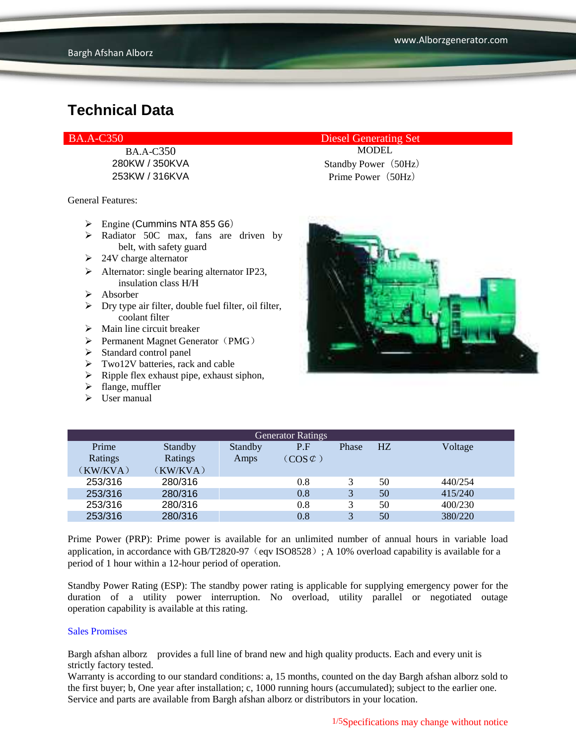BA.A-C350 MODEL

General Features:

- $\triangleright$  Engine (Cummins NTA 855 G6)
- $\triangleright$  Radiator 50C max, fans are driven by belt, with safety guard
- $\geq$  24V charge alternator
- $\triangleright$  Alternator: single bearing alternator IP23, insulation class H/H
- $\triangleright$  Absorber
- $\triangleright$  Dry type air filter, double fuel filter, oil filter, coolant filter
- $\triangleright$  Main line circuit breaker
- $\triangleright$  Permanent Magnet Generator (PMG)
- $\triangleright$  Standard control panel
- $\triangleright$  Two12V batteries, rack and cable
- $\triangleright$  Ripple flex exhaust pipe, exhaust siphon,
- $\blacktriangleright$  flange, muffler
- $\triangleright$  User manual

BA.A-C350 Diesel Generating Set

280KW / 350KVA Standby Power (50Hz) 253KW / 316KVA Prime Power(50Hz)



| <b>Generator Ratings</b> |                |         |                     |              |                |         |
|--------------------------|----------------|---------|---------------------|--------------|----------------|---------|
| Prime                    | <b>Standby</b> | Standby | P.F                 | Phase        | H <sub>Z</sub> | Voltage |
| Ratings                  | Ratings        | Amps    | $(COS \mathcal{C})$ |              |                |         |
| (KW/KVA)                 | (KW/KVA)       |         |                     |              |                |         |
| 253/316                  | 280/316        |         | 0.8                 | 3            | 50             | 440/254 |
| 253/316                  | 280/316        |         | 0.8                 | 3            | 50             | 415/240 |
| 253/316                  | 280/316        |         | 0.8                 | 3            | 50             | 400/230 |
| 253/316                  | 280/316        |         | 0.8                 | $\mathbf{z}$ | 50             | 380/220 |

Prime Power (PRP): Prime power is available for an unlimited number of annual hours in variable load application, in accordance with GB/T2820-97 (eqv ISO8528); A 10% overload capability is available for a period of 1 hour within a 12-hour period of operation.

Standby Power Rating (ESP): The standby power rating is applicable for supplying emergency power for the duration of a utility power interruption. No overload, utility parallel or negotiated outage operation capability is available at this rating.

#### Sales Promises

Bargh afshan alborz provides a full line of brand new and high quality products. Each and every unit is strictly factory tested.

Warranty is according to our standard conditions: a, 15 months, counted on the day Bargh afshan alborz sold to the first buyer; b, One year after installation; c, 1000 running hours (accumulated); subject to the earlier one. Service and parts are available from Bargh afshan alborz or distributors in your location.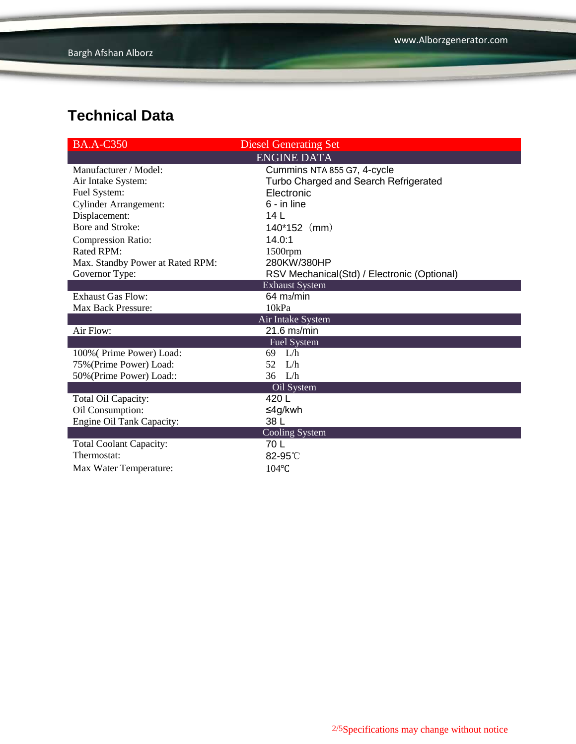| <b>BA.A-C350</b>                 | <b>Diesel Generating Set</b>                |
|----------------------------------|---------------------------------------------|
|                                  | <b>ENGINE DATA</b>                          |
| Manufacturer / Model:            | Cummins NTA 855 G7, 4-cycle                 |
| Air Intake System:               | Turbo Charged and Search Refrigerated       |
| Fuel System:                     | Electronic                                  |
| <b>Cylinder Arrangement:</b>     | $6 - in line$                               |
| Displacement:                    | 14 <sub>L</sub>                             |
| Bore and Stroke:                 | $140*152$ (mm)                              |
| <b>Compression Ratio:</b>        | 14.0:1                                      |
| Rated RPM:                       | $1500$ rpm                                  |
| Max. Standby Power at Rated RPM: | 280KW/380HP                                 |
| Governor Type:                   | RSV Mechanical(Std) / Electronic (Optional) |
|                                  | <b>Exhaust System</b>                       |
| <b>Exhaust Gas Flow:</b>         | $64 \text{ m}$ <sub>2</sub> /min            |
| <b>Max Back Pressure:</b>        | 10kPa                                       |
|                                  | Air Intake System                           |
| Air Flow:                        | 21.6 m <sub>3</sub> /min                    |
|                                  | Fuel System                                 |
| 100% (Prime Power) Load:         | 69 L/h                                      |
| 75% (Prime Power) Load:          | 52<br>L/h                                   |
| 50% (Prime Power) Load::         | $36$ L/h                                    |
|                                  | Oil System                                  |
| Total Oil Capacity:              | 420L                                        |
| Oil Consumption:                 | ≤4g/kwh                                     |
| Engine Oil Tank Capacity:        | 38 L                                        |
|                                  | Cooling System                              |
| <b>Total Coolant Capacity:</b>   | 70 L                                        |
| Thermostat:                      | 82-95°C                                     |
| Max Water Temperature:           | $104$ °C                                    |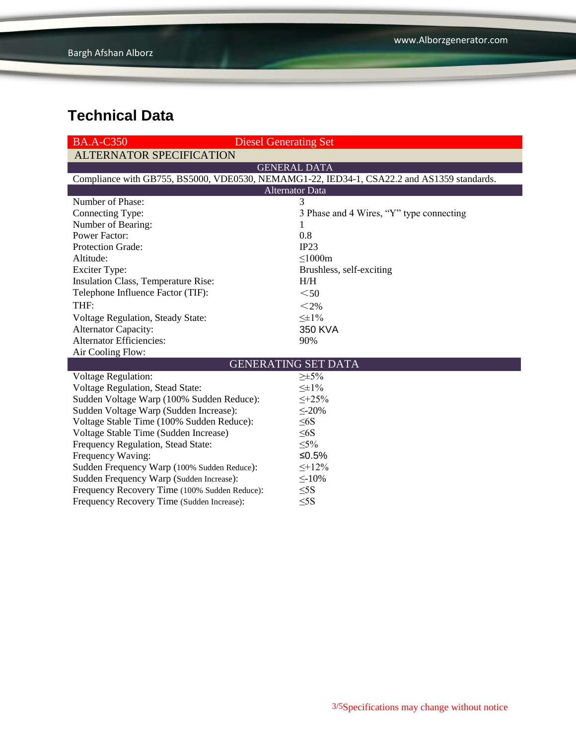| <b>BA.A-C350</b>                              | <b>Diesel Generating Set</b>                                                               |  |  |  |  |
|-----------------------------------------------|--------------------------------------------------------------------------------------------|--|--|--|--|
| <b>ALTERNATOR SPECIFICATION</b>               |                                                                                            |  |  |  |  |
|                                               | <b>GENERAL DATA</b>                                                                        |  |  |  |  |
|                                               | Compliance with GB755, BS5000, VDE0530, NEMAMG1-22, IED34-1, CSA22.2 and AS1359 standards. |  |  |  |  |
| <b>Alternator Data</b>                        |                                                                                            |  |  |  |  |
| Number of Phase:                              | 3                                                                                          |  |  |  |  |
| Connecting Type:                              | 3 Phase and 4 Wires, "Y" type connecting                                                   |  |  |  |  |
| Number of Bearing:                            |                                                                                            |  |  |  |  |
| <b>Power Factor:</b>                          | 0.8                                                                                        |  |  |  |  |
| Protection Grade:                             | IP23                                                                                       |  |  |  |  |
| Altitude:                                     | $\leq$ 1000m                                                                               |  |  |  |  |
| <b>Exciter Type:</b>                          | Brushless, self-exciting                                                                   |  |  |  |  |
| Insulation Class, Temperature Rise:           | H/H                                                                                        |  |  |  |  |
| Telephone Influence Factor (TIF):             | $<$ 50                                                                                     |  |  |  |  |
| THF:                                          | $<$ 2%                                                                                     |  |  |  |  |
| Voltage Regulation, Steady State:             | $\leq \pm 1\%$                                                                             |  |  |  |  |
| <b>Alternator Capacity:</b>                   | 350 KVA                                                                                    |  |  |  |  |
| <b>Alternator Efficiencies:</b>               | 90%                                                                                        |  |  |  |  |
| Air Cooling Flow:                             |                                                                                            |  |  |  |  |
| <b>GENERATING SET DATA</b>                    |                                                                                            |  |  |  |  |
| <b>Voltage Regulation:</b>                    | $\geq \pm 5\%$                                                                             |  |  |  |  |
| Voltage Regulation, Stead State:              | $\leq \pm 1\%$                                                                             |  |  |  |  |
| Sudden Voltage Warp (100% Sudden Reduce):     | $\leq +25\%$                                                                               |  |  |  |  |
| Sudden Voltage Warp (Sudden Increase):        | $\leq$ -20%                                                                                |  |  |  |  |
| Voltage Stable Time (100% Sudden Reduce):     | $\leq 6S$                                                                                  |  |  |  |  |
| Voltage Stable Time (Sudden Increase)         | $\leq 6S$                                                                                  |  |  |  |  |
| Frequency Regulation, Stead State:            | $\leq 5\%$                                                                                 |  |  |  |  |
| Frequency Waving:                             | ≤0.5%                                                                                      |  |  |  |  |
| Sudden Frequency Warp (100% Sudden Reduce):   | $\leq +12\%$                                                                               |  |  |  |  |
| Sudden Frequency Warp (Sudden Increase):      | $\leq$ -10%                                                                                |  |  |  |  |
| Frequency Recovery Time (100% Sudden Reduce): | $\leq$ 5S                                                                                  |  |  |  |  |
| Frequency Recovery Time (Sudden Increase):    | $\leq$ 5S                                                                                  |  |  |  |  |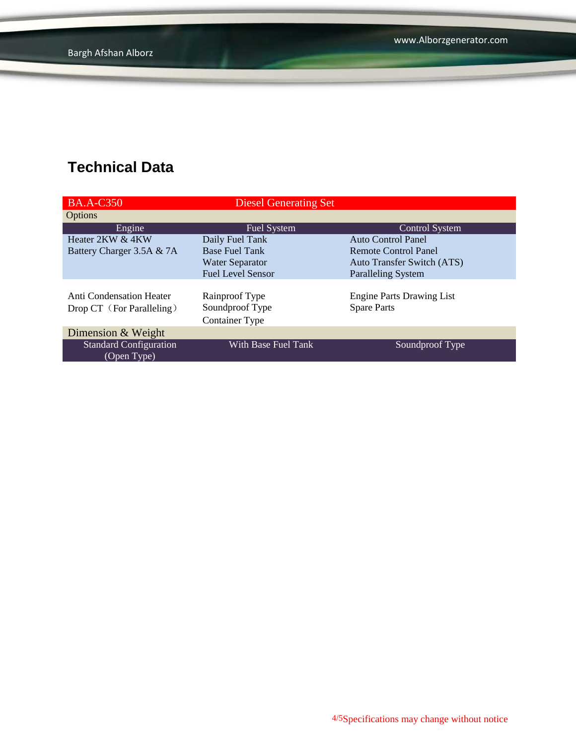| <b>BA.A-C350</b>                                             | <b>Diesel Generating Set</b>                               |                                                        |
|--------------------------------------------------------------|------------------------------------------------------------|--------------------------------------------------------|
| <b>Options</b>                                               |                                                            |                                                        |
| Engine                                                       | <b>Fuel System</b>                                         | Control System                                         |
| Heater 2KW & 4KW                                             | Daily Fuel Tank                                            | <b>Auto Control Panel</b>                              |
| Battery Charger 3.5A & 7A                                    | <b>Base Fuel Tank</b>                                      | <b>Remote Control Panel</b>                            |
|                                                              | Water Separator                                            | Auto Transfer Switch (ATS)                             |
|                                                              | <b>Fuel Level Sensor</b>                                   | <b>Paralleling System</b>                              |
| <b>Anti Condensation Heater</b><br>Drop CT (For Paralleling) | Rainproof Type<br>Soundproof Type<br><b>Container Type</b> | <b>Engine Parts Drawing List</b><br><b>Spare Parts</b> |
| Dimension & Weight                                           |                                                            |                                                        |
| <b>Standard Configuration</b><br>(Open Type)                 | With Base Fuel Tank                                        | Soundproof Type                                        |

4/5Specifications may change without notice